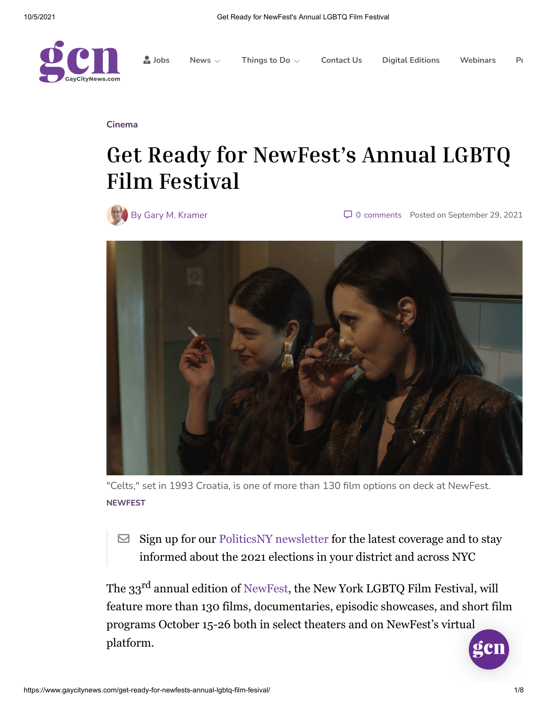

**[Jobs](https://jobs.gaycitynews.com/) [News](https://www.gaycitynews.com/category/news/)** ⌵ **[Things](https://www.gaycitynews.com/events/) to Do** ⌵ **[Contact](https://www.gaycitynews.com/contact-us/) Us Digital [Editions](https://www.gaycitynews.com/category/digital-editions/) [Webinars](https://www.schnepsmedia.com/webinars/) [Po](https://podcasts.schnepsmedia.com/)**

**[Cinema](https://www.gaycitynews.com/category/arts/cinema/)**

# **Get Ready for NewFest's Annual LGBTQ Film Festival**



By Gary M. [Kramer](https://www.gaycitynews.com/author/gary-m-kramer/) **19, 2[0](javascript:void(0))21** Comments Posted on [September](https://www.gaycitynews.com/get-ready-for-newfests-annual-lgbtq-film-fesival/) 29, 2021



"Celts," set in 1993 Croatia, is one of more than 130 film options on deck at NewFest. **NEWFEST**

 $\triangleright$  Sign up for our [PoliticsNY newsletter](https://trypico.com/politicsny?short_code=5jw8mkk5) for the latest coverage and to stay informed about the 2021 elections in your district and across NYC

The 33rd annual edition of [NewFest](https://newfest.org/), the New York LGBTQ Film Festival, will feature more than 130 films, documentaries, episodic showcases, and short film programs October 15-26 both in select theaters and on NewFest's virtual platform.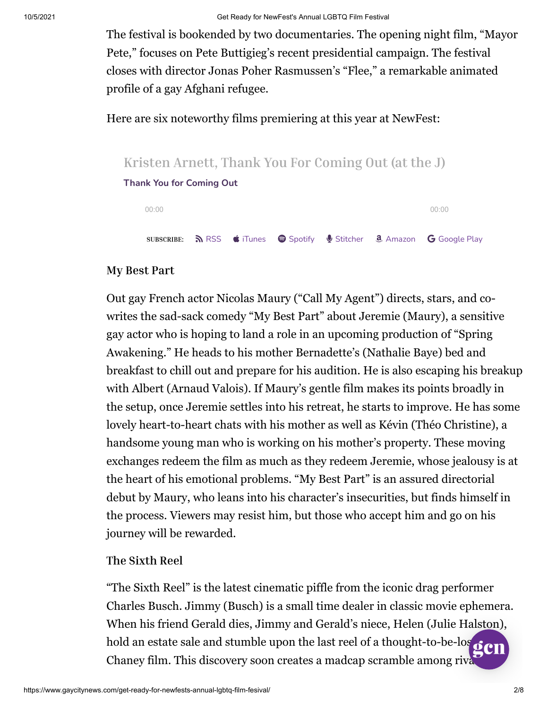The festival is bookended by two documentaries. The opening night film, "Mayor Pete," focuses on Pete Buttigieg's recent presidential campaign. The festival closes with director Jonas Poher Rasmussen's "Flee," a remarkable animated profile of a gay Afghani refugee.

Here are six noteworthy films premiering at this year at NewFest:



## **My Best Part**

Out gay French actor Nicolas Maury ("Call My Agent") directs, stars, and cowrites the sad-sack comedy "My Best Part" about Jeremie (Maury), a sensitive gay actor who is hoping to land a role in an upcoming production of "Spring Awakening." He heads to his mother Bernadette's (Nathalie Baye) bed and breakfast to chill out and prepare for his audition. He is also escaping his breakup with Albert (Arnaud Valois). If Maury's gentle film makes its points broadly in the setup, once Jeremie settles into his retreat, he starts to improve. He has some lovely heart-to-heart chats with his mother as well as Kévin (Théo Christine), a handsome young man who is working on his mother's property. These moving exchanges redeem the film as much as they redeem Jeremie, whose jealousy is at the heart of his emotional problems. "My Best Part" is an assured directorial debut by Maury, who leans into his character's insecurities, but finds himself in the process. Viewers may resist him, but those who accept him and go on his journey will be rewarded.

## **The Sixth Reel**

"The Sixth Reel" is the latest cinematic piffle from the iconic drag performer Charles Busch. Jimmy (Busch) is a small time dealer in classic movie ephemera. When his friend Gerald dies, Jimmy and Gerald's niece, Helen (Julie Halston), hold an estate sale and stumble upon the last reel of a thought-to-be-los Chaney film. This discovery soon creates a madcap scramble among rival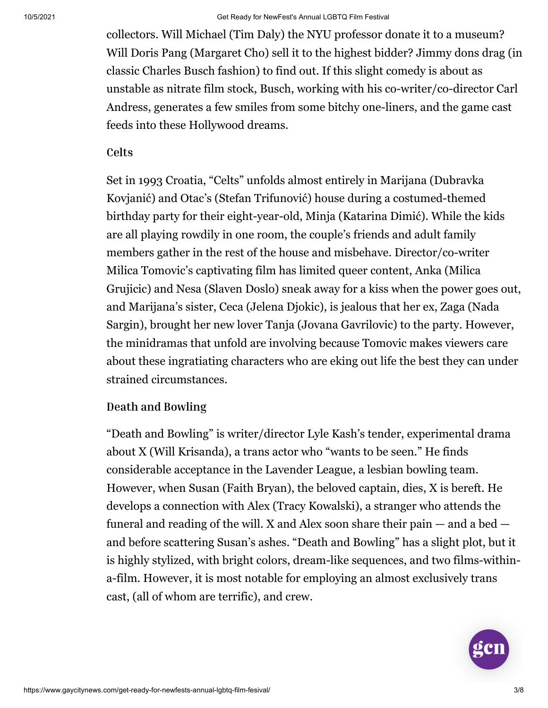collectors. Will Michael (Tim Daly) the NYU professor donate it to a museum? Will Doris Pang (Margaret Cho) sell it to the highest bidder? Jimmy dons drag (in classic Charles Busch fashion) to find out. If this slight comedy is about as unstable as nitrate film stock, Busch, working with his co-writer/co-director Carl Andress, generates a few smiles from some bitchy one-liners, and the game cast feeds into these Hollywood dreams.

#### **Celts**

Set in 1993 Croatia, "Celts" unfolds almost entirely in Marijana (Dubravka Kovjanić) and Otac's (Stefan Trifunović) house during a costumed-themed birthday party for their eight-year-old, Minja (Katarina Dimić). While the kids are all playing rowdily in one room, the couple's friends and adult family members gather in the rest of the house and misbehave. Director/co-writer Milica Tomovic's captivating film has limited queer content, Anka (Milica Grujicic) and Nesa (Slaven Doslo) sneak away for a kiss when the power goes out, and Marijana's sister, Ceca (Jelena Djokic), is jealous that her ex, Zaga (Nada Sargin), brought her new lover Tanja (Jovana Gavrilovic) to the party. However, the minidramas that unfold are involving because Tomovic makes viewers care about these ingratiating characters who are eking out life the best they can under strained circumstances.

## **Death and Bowling**

"Death and Bowling" is writer/director Lyle Kash's tender, experimental drama about X (Will Krisanda), a trans actor who "wants to be seen." He finds considerable acceptance in the Lavender League, a lesbian bowling team. However, when Susan (Faith Bryan), the beloved captain, dies, X is bereft. He develops a connection with Alex (Tracy Kowalski), a stranger who attends the funeral and reading of the will. X and Alex soon share their pain  $-$  and a bed  $$ and before scattering Susan's ashes. "Death and Bowling" has a slight plot, but it is highly stylized, with bright colors, dream-like sequences, and two films-withina-film. However, it is most notable for employing an almost exclusively trans cast, (all of whom are terrific), and crew.

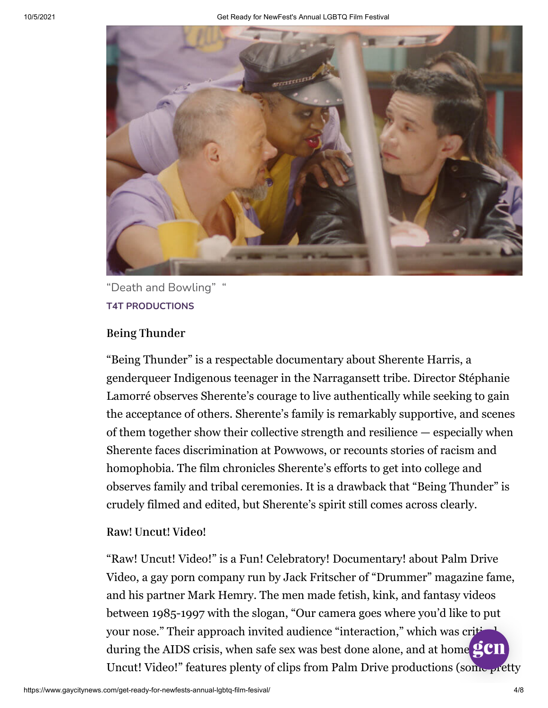

"Death and Bowling" " **T4T PRODUCTIONS**

#### **Being Thunder**

"Being Thunder" is a respectable documentary about Sherente Harris, a genderqueer Indigenous teenager in the Narragansett tribe. Director Stéphanie Lamorré observes Sherente's courage to live authentically while seeking to gain the acceptance of others. Sherente's family is remarkably supportive, and scenes of them together show their collective strength and resilience — especially when Sherente faces discrimination at Powwows, or recounts stories of racism and homophobia. The film chronicles Sherente's efforts to get into college and observes family and tribal ceremonies. It is a drawback that "Being Thunder" is crudely filmed and edited, but Sherente's spirit still comes across clearly.

#### **Raw! Uncut! Video!**

"Raw! Uncut! Video!" is a Fun! Celebratory! Documentary! about Palm Drive Video, a gay porn company run by Jack Fritscher of "Drummer" magazine fame, and his partner Mark Hemry. The men made fetish, kink, and fantasy videos between 1985-1997 with the slogan, "Our camera goes where you'd like to put your nose." Their approach invited audience "interaction," which was critical during the AIDS crisis, when safe sex was best done alone, and at home  $\mathbb{C}$  CII Uncut! Video!" features plenty of clips from Palm Drive productions (some pretty